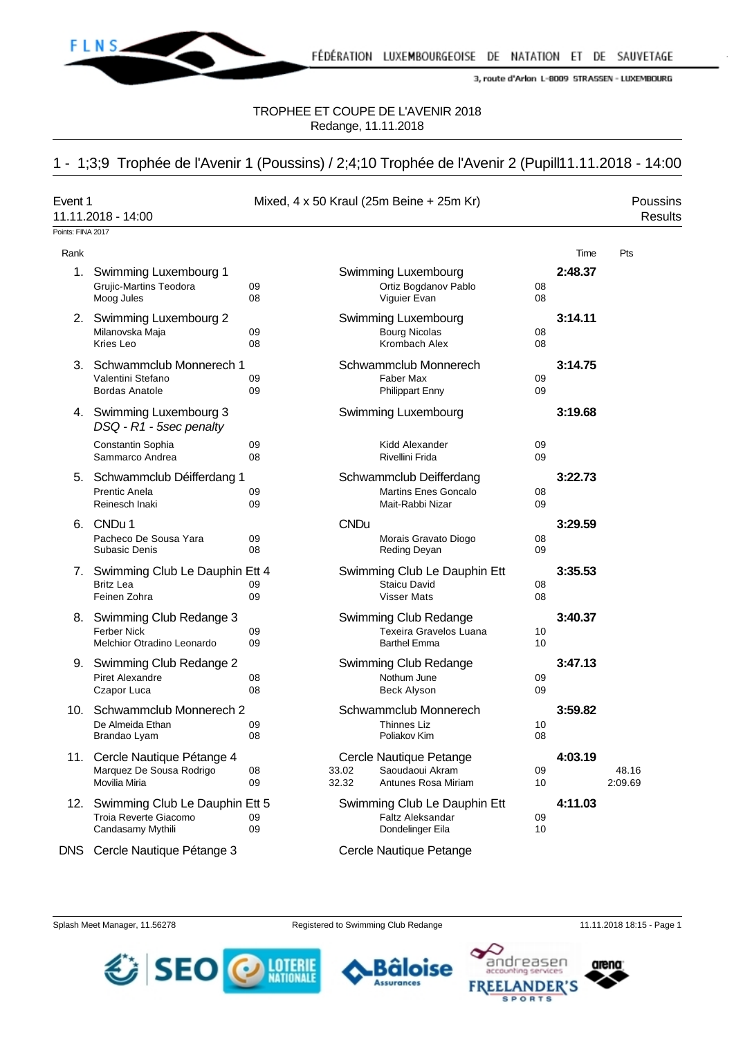

TROPHEE ET COUPE DE L'AVENIR 2018 Redange, 11.11.2018

# 1 - 1;3;9 Trophée de l'Avenir 1 (Poussins) / 2;4;10 Trophée de l'Avenir 2 (Pupill11.11.2018 - 14:00

| Event 1           | 11.11.2018 - 14:00                                                               |          |                | Mixed, 4 x 50 Kraul (25m Beine + 25m Kr)                                    |          |         | Poussins<br>Results |
|-------------------|----------------------------------------------------------------------------------|----------|----------------|-----------------------------------------------------------------------------|----------|---------|---------------------|
| Points: FINA 2017 |                                                                                  |          |                |                                                                             |          |         |                     |
| Rank              |                                                                                  |          |                |                                                                             |          | Time    | Pts                 |
|                   | 1. Swimming Luxembourg 1<br>Grujic-Martins Teodora<br>Moog Jules                 | 09<br>08 |                | Swimming Luxembourg<br>Ortiz Bogdanov Pablo<br>Viguier Evan                 | 08<br>08 | 2:48.37 |                     |
|                   | 2. Swimming Luxembourg 2<br>Milanovska Maja<br>Kries Leo                         | 09<br>08 |                | Swimming Luxembourg<br><b>Bourg Nicolas</b><br>Krombach Alex                | 08<br>08 | 3:14.11 |                     |
|                   | 3. Schwammclub Monnerech 1<br>Valentini Stefano<br>Bordas Anatole                | 09<br>09 |                | Schwammclub Monnerech<br>Faber Max<br><b>Philippart Enny</b>                | 09<br>09 | 3:14.75 |                     |
|                   | 4. Swimming Luxembourg 3<br>DSQ - R1 - 5sec penalty                              |          |                | Swimming Luxembourg                                                         |          | 3:19.68 |                     |
|                   | Constantin Sophia<br>Sammarco Andrea                                             | 09<br>08 |                | Kidd Alexander<br>Rivellini Frida                                           | 09<br>09 |         |                     |
|                   | 5. Schwammclub Déifferdang 1<br><b>Prentic Anela</b><br>Reinesch Inaki           | 09<br>09 |                | Schwammclub Deifferdang<br><b>Martins Enes Goncalo</b><br>Mait-Rabbi Nizar  | 08<br>09 | 3:22.73 |                     |
|                   | 6. CNDu 1                                                                        |          | <b>CNDu</b>    |                                                                             |          | 3:29.59 |                     |
|                   | Pacheco De Sousa Yara<br>Subasic Denis                                           | 09<br>08 |                | Morais Gravato Diogo<br>Reding Deyan                                        | 08<br>09 |         |                     |
|                   | 7. Swimming Club Le Dauphin Ett 4<br><b>Britz Lea</b><br>Feinen Zohra            | 09<br>09 |                | Swimming Club Le Dauphin Ett<br><b>Staicu David</b><br><b>Visser Mats</b>   | 08<br>08 | 3:35.53 |                     |
|                   | 8. Swimming Club Redange 3<br><b>Ferber Nick</b><br>Melchior Otradino Leonardo   | 09<br>09 |                | Swimming Club Redange<br>Texeira Gravelos Luana<br><b>Barthel Emma</b>      | 10<br>10 | 3:40.37 |                     |
|                   | 9. Swimming Club Redange 2<br>Piret Alexandre<br>Czapor Luca                     | 08<br>08 |                | Swimming Club Redange<br>Nothum June<br><b>Beck Alyson</b>                  | 09<br>09 | 3:47.13 |                     |
|                   | 10. Schwammclub Monnerech 2<br>De Almeida Ethan<br>Brandao Lyam                  | 09<br>08 |                | Schwammclub Monnerech<br>Thinnes Liz<br>Poliakov Kim                        | 10<br>08 | 3:59.82 |                     |
|                   | 11. Cercle Nautique Pétange 4<br>Marquez De Sousa Rodrigo<br>Movilia Miria       | 08<br>09 | 33.02<br>32.32 | Cercle Nautique Petange<br>Saoudaoui Akram<br>Antunes Rosa Miriam           | 09<br>10 | 4:03.19 | 48.16<br>2:09.69    |
|                   | 12. Swimming Club Le Dauphin Ett 5<br>Troia Reverte Giacomo<br>Candasamy Mythili | 09<br>09 |                | Swimming Club Le Dauphin Ett<br><b>Faltz Aleksandar</b><br>Dondelinger Eila | 09<br>10 | 4:11.03 |                     |
| DNS               | Cercle Nautique Pétange 3                                                        |          |                | Cercle Nautique Petange                                                     |          |         |                     |

Splash Meet Manager, 11.56278 Registered to Swimming Club Redange 11.11.2018 18:15 - Page 1





Bâloise **Assurances** 

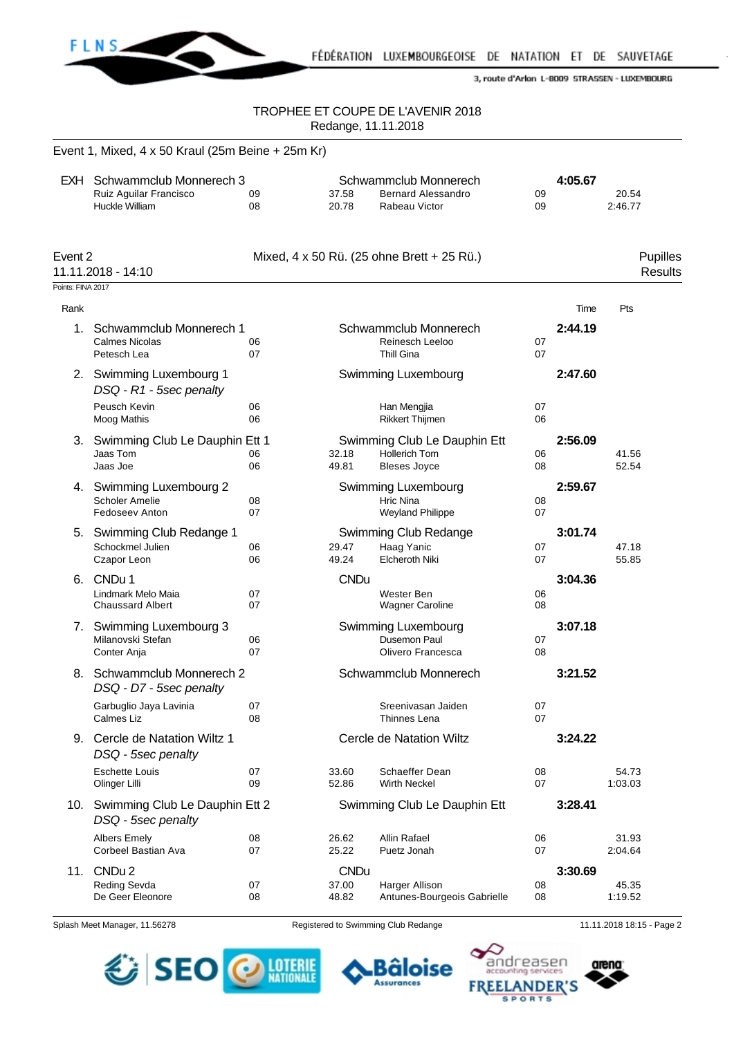

#### TROPHEE ET COUPE DE L'AVENIR 2018 Redange, 11.11.2018

|                              | EXH Schwammclub Monnerech 3                                         |          |                               | Schwammclub Monnerech                                                       |          | 4:05.67 |                     |
|------------------------------|---------------------------------------------------------------------|----------|-------------------------------|-----------------------------------------------------------------------------|----------|---------|---------------------|
|                              | Ruiz Aguilar Francisco<br>Huckle William                            | 09<br>08 | 37.58<br>20.78                | <b>Bernard Alessandro</b><br>Rabeau Victor                                  | 09<br>09 |         | 20.54<br>2:46.77    |
| Event 2<br>Points: FINA 2017 | 11.11.2018 - 14:10                                                  |          |                               | Mixed, 4 x 50 Rü. (25 ohne Brett + 25 Rü.)                                  |          |         | Pupilles<br>Results |
| Rank                         |                                                                     |          |                               |                                                                             |          | Time    | Pts                 |
| 1.                           | Schwammclub Monnerech 1<br><b>Calmes Nicolas</b><br>Petesch Lea     | 06<br>07 |                               | Schwammclub Monnerech<br>Reinesch Leeloo<br><b>Thill Gina</b>               | 07<br>07 | 2:44.19 |                     |
|                              | 2. Swimming Luxembourg 1<br>DSQ - R1 - 5sec penalty                 |          |                               | Swimming Luxembourg                                                         |          | 2:47.60 |                     |
|                              | Peusch Kevin<br>Moog Mathis                                         | 06<br>06 |                               | Han Mengjia<br><b>Rikkert Thijmen</b>                                       | 07<br>06 |         |                     |
|                              | 3. Swimming Club Le Dauphin Ett 1<br>Jaas Tom<br>Jaas Joe           | 06<br>06 | 32.18<br>49.81                | Swimming Club Le Dauphin Ett<br><b>Hollerich Tom</b><br><b>Bleses Joyce</b> | 06<br>08 | 2:56.09 | 41.56<br>52.54      |
|                              | 4. Swimming Luxembourg 2<br>Scholer Amelie<br><b>Fedoseev Anton</b> | 08<br>07 |                               | Swimming Luxembourg<br><b>Hric Nina</b><br>Weyland Philippe                 | 08<br>07 | 2:59.67 |                     |
|                              | 5. Swimming Club Redange 1<br>Schockmel Julien<br>Czapor Leon       | 06<br>06 | 29.47<br>49.24                | Swimming Club Redange<br>Haag Yanic<br>Elcheroth Niki                       | 07<br>07 | 3:01.74 | 47.18<br>55.85      |
| 6.                           | CNDu 1                                                              |          | <b>CNDu</b>                   |                                                                             |          | 3:04.36 |                     |
|                              | Lindmark Melo Maia<br><b>Chaussard Albert</b>                       | 07<br>07 |                               | Wester Ben<br><b>Wagner Caroline</b>                                        | 06<br>08 |         |                     |
|                              | 7. Swimming Luxembourg 3<br>Milanovski Stefan<br>Conter Anja        | 06<br>07 |                               | Swimming Luxembourg<br>Dusemon Paul<br>Olivero Francesca                    | 07<br>08 | 3:07.18 |                     |
|                              | 8. Schwammclub Monnerech 2<br>DSQ - D7 - 5sec penalty               |          |                               | Schwammclub Monnerech                                                       |          | 3:21.52 |                     |
|                              | Garbuglio Jaya Lavinia<br>Calmes Liz                                | 07<br>08 |                               | Sreenivasan Jaiden<br>Thinnes Lena                                          | 07<br>07 |         |                     |
| 9.                           | Cercle de Natation Wiltz 1<br>DSQ - 5sec penalty                    |          |                               | Cercle de Natation Wiltz                                                    |          | 3:24.22 |                     |
|                              | <b>Eschette Louis</b><br>Olinger Lilli                              | 07<br>09 | 33.60<br>52.86                | Schaeffer Dean<br><b>Wirth Neckel</b>                                       | 08<br>07 |         | 54.73<br>1:03.03    |
|                              | 10. Swimming Club Le Dauphin Ett 2<br>DSQ - 5sec penalty            |          |                               | Swimming Club Le Dauphin Ett                                                |          | 3:28.41 |                     |
|                              | <b>Albers Emely</b><br>Corbeel Bastian Ava                          | 08<br>07 | 26.62<br>25.22                | <b>Allin Rafael</b><br>Puetz Jonah                                          | 06<br>07 |         | 31.93<br>2:04.64    |
|                              | 11. CNDu 2<br>Reding Sevda<br>De Geer Eleonore                      | 07<br>08 | <b>CNDu</b><br>37.00<br>48.82 | Harger Allison<br>Antunes-Bourgeois Gabrielle                               | 08<br>08 | 3:30.69 | 45.35<br>1:19.52    |

Splash Meet Manager, 11.56278 **Registered to Swimming Club Redange** 11.11.2018 18:15 - Page 2



**Bâloise** 

**Assurances** 

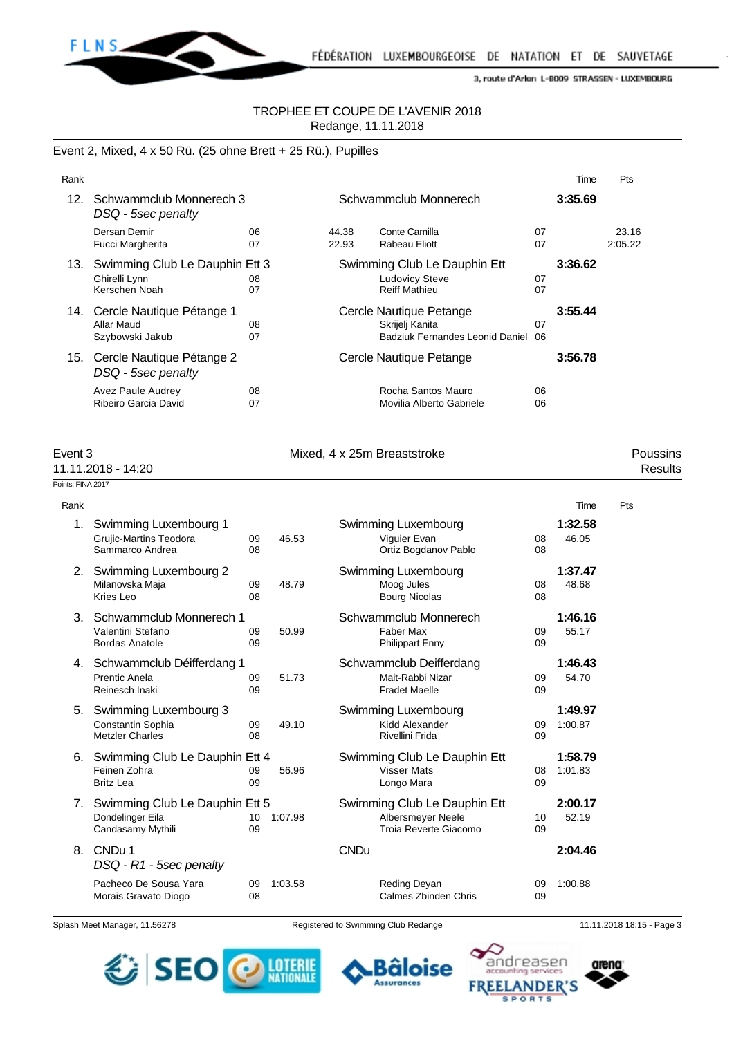

#### TROPHEE ET COUPE DE L'AVENIR 2018 Redange, 11.11.2018

#### Event 2, Mixed, 4 x 50 Rü. (25 ohne Brett + 25 Rü.), Pupilles

| Rank |                                                                  |          |                       |                                                                               |          | Time    | Pts              |
|------|------------------------------------------------------------------|----------|-----------------------|-------------------------------------------------------------------------------|----------|---------|------------------|
| 12.  | Schwammclub Monnerech 3<br>DSQ - 5sec penalty                    |          | Schwammclub Monnerech |                                                                               |          | 3:35.69 |                  |
|      | Dersan Demir<br><b>Fucci Margherita</b>                          | 06<br>07 | 44.38<br>22.93        | Conte Camilla<br>Rabeau Eliott                                                | 07<br>07 |         | 23.16<br>2:05.22 |
| 13.  | Swimming Club Le Dauphin Ett 3<br>Ghirelli Lynn<br>Kerschen Noah | 08<br>07 |                       | Swimming Club Le Dauphin Ett<br><b>Ludovicy Steve</b><br><b>Reiff Mathieu</b> | 07<br>07 | 3:36.62 |                  |
| 14.  | Cercle Nautique Pétange 1<br>Allar Maud<br>Szybowski Jakub       | 08<br>07 |                       | Cercle Nautique Petange<br>Skrijelj Kanita<br>Badziuk Fernandes Leonid Daniel | 07<br>06 | 3:55.44 |                  |
| 15.  | Cercle Nautique Pétange 2<br>DSQ - 5sec penalty                  |          |                       | Cercle Nautique Petange                                                       |          | 3:56.78 |                  |
|      | Avez Paule Audrey<br>Ribeiro Garcia David                        | 08<br>07 |                       | Rocha Santos Mauro<br>Movilia Alberto Gabriele                                | 06<br>06 |         |                  |

Event 3 The Poussins Communication of the Mixed, 4 x 25m Breaststroke Communication of Poussins

11.11.2018 - 14:20 Results

## Points: FINA 2017 Rank **Time Pts** 1. Swimming Luxembourg 1 Swimming Luxembourg **1:32.58** Grujic-Martins Teodora 09 46.53 Viguier Evan 08 46.05 Ortiz Bogdanov Pablo 2. Swimming Luxembourg 2 Swimming Luxembourg **1:37.47** Milanovska Maja 09 48.79 Moog Jules 08 48.68 Kries Leo 08 Bourg Nicolas 08 3. Schwammclub Monnerech 1 Schwammclub Monnerech **1:46.16**<br>Valentini Stefano 09 50.99 Faber Max Valentini Stefano 09 50.99 Faber Max 09 55.17 Bordas Anatole **09 Philippart Enny 09 Philippart Enny 09 D** 4. Schwammclub Déifferdang 1 Schwammclub Deifferdang **1:46.43** Prentic Anela 09 51.73 Mait-Rabbi Nizar 09 54.70 Reinesch Inaki 09 Fradet Maelle 09 5. Swimming Luxembourg 3 Swimming Luxembourg **1:49.97** Constantin Sophia 09 49.10 Kidd Alexander 09 1:00.87 Metzler Charles **08 Rivellini Frida** 09 **Rivellini Frida** 09 6. Swimming Club Le Dauphin Ett 4 Swimming Club Le Dauphin Ett **1:58.79** Feinen Zohra 09 56.96 Visser Mats 08 1:01.83 Longo Mara 7. Swimming Club Le Dauphin Ett 5 Swimming Club Le Dauphin Ett **2:00.17** Dondelinger Eila 10 1:07.98 Albersmeyer Neele 10 52.19 Candasamy Mythili **Candasamy Mythili** 09 **Candasamy Mythili** 09 **Candasamy Mythili** 09 **09** 8. CNDu 1 CNDu **2:04.46** *DSQ - R1 - 5sec penalty* Pacheco De Sousa Yara 09 1:03.58 Reding Deyan 09 1:00.88 Morais Gravato Diogo 08 Calmes Zbinden Chris 09

Splash Meet Manager, 11.56278 **Registered to Swimming Club Redange** 11.11.2018 18:15 - Page 3





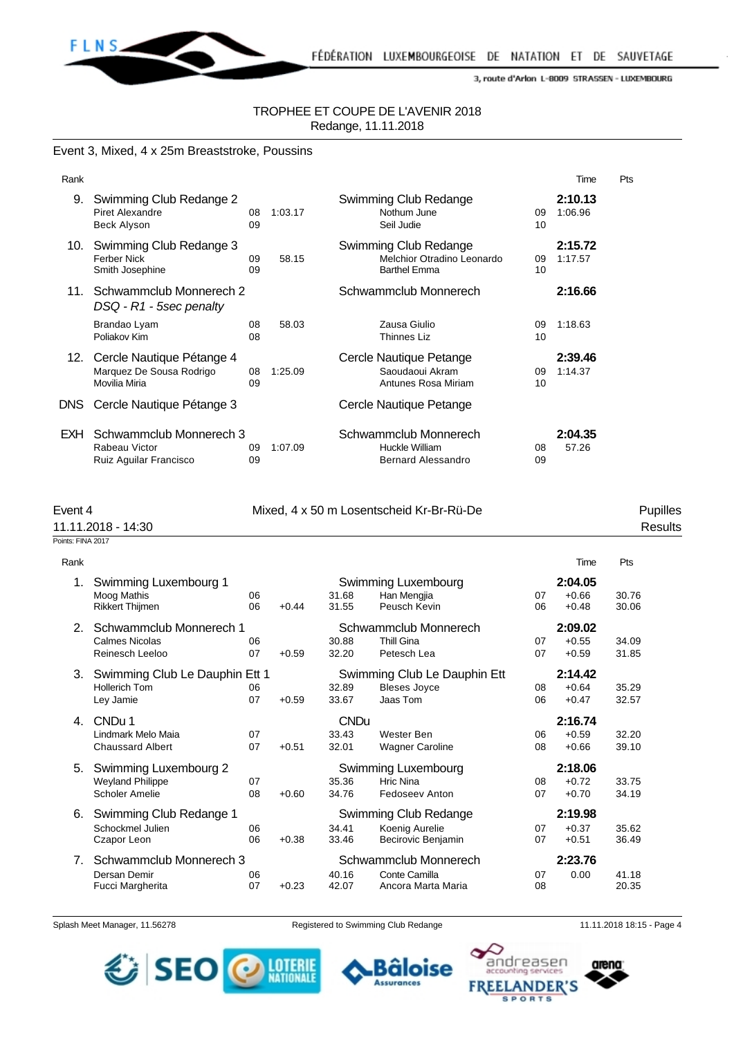

## TROPHEE ET COUPE DE L'AVENIR 2018 Redange, 11.11.2018

#### Event 3, Mixed, 4 x 25m Breaststroke, Poussins

| Rank       |                                                                         |          |         |                                                                            |          | Time               | Pts |
|------------|-------------------------------------------------------------------------|----------|---------|----------------------------------------------------------------------------|----------|--------------------|-----|
| 9.         | Swimming Club Redange 2<br><b>Piret Alexandre</b><br><b>Beck Alyson</b> | 08<br>09 | 1:03.17 | Swimming Club Redange<br>Nothum June<br>Seil Judie                         | 09<br>10 | 2:10.13<br>1:06.96 |     |
| 10.        | Swimming Club Redange 3<br><b>Ferber Nick</b><br>Smith Josephine        | 09<br>09 | 58.15   | Swimming Club Redange<br>Melchior Otradino Leonardo<br><b>Barthel Emma</b> | 09<br>10 | 2:15.72<br>1:17.57 |     |
| 11.        | Schwammclub Monnerech 2<br>DSQ - R1 - 5sec penalty                      |          |         | Schwammclub Monnerech                                                      |          | 2:16.66            |     |
|            | Brandao Lyam<br>Poliakov Kim                                            | 08<br>08 | 58.03   | Zausa Giulio<br>Thinnes Liz                                                | 09<br>10 | 1:18.63            |     |
| 12.        | Cercle Nautique Pétange 4<br>Marquez De Sousa Rodrigo<br>Movilia Miria  | 08<br>09 | 1:25.09 | Cercle Nautique Petange<br>Saoudaoui Akram<br>Antunes Rosa Miriam          | 09<br>10 | 2:39.46<br>1:14.37 |     |
| DNS.       | Cercle Nautique Pétange 3                                               |          |         | Cercle Nautique Petange                                                    |          |                    |     |
| <b>EXH</b> | Schwammclub Monnerech 3<br>Rabeau Victor<br>Ruiz Aguilar Francisco      | 09<br>09 | 1:07.09 | Schwammclub Monnerech<br>Huckle William<br>Bernard Alessandro              | 08<br>09 | 2:04.35<br>57.26   |     |

#### Event 4 Mixed, 4 x 50 m Losentscheid Kr-Br-Rü-De

11.11.2018 - 14:30 Results Points: FINA 2017

| Rank |                                                                     |          |         |                               |                                                                 |          | Time                          | Pts            |
|------|---------------------------------------------------------------------|----------|---------|-------------------------------|-----------------------------------------------------------------|----------|-------------------------------|----------------|
| 1.   | Swimming Luxembourg 1<br>Moog Mathis<br><b>Rikkert Thijmen</b>      | 06<br>06 | $+0.44$ | 31.68<br>31.55                | Swimming Luxembourg<br>Han Mengjia<br>Peusch Kevin              | 07<br>06 | 2:04.05<br>$+0.66$<br>$+0.48$ | 30.76<br>30.06 |
| 2.   | Schwammclub Monnerech 1<br><b>Calmes Nicolas</b><br>Reinesch Leeloo | 06<br>07 | $+0.59$ | 30.88<br>32.20                | Schwammclub Monnerech<br><b>Thill Gina</b><br>Petesch Lea       | 07<br>07 | 2:09.02<br>$+0.55$<br>$+0.59$ | 34.09<br>31.85 |
| 3.   | Swimming Club Le Dauphin Ett 1<br><b>Hollerich Tom</b><br>Ley Jamie | 06<br>07 | $+0.59$ | 32.89<br>33.67                | Swimming Club Le Dauphin Ett<br><b>Bleses Joyce</b><br>Jaas Tom | 08<br>06 | 2:14.42<br>$+0.64$<br>$+0.47$ | 35.29<br>32.57 |
| 4.   | CND <sub>u</sub> 1<br>Lindmark Melo Maia<br><b>Chaussard Albert</b> | 07<br>07 | $+0.51$ | <b>CNDu</b><br>33.43<br>32.01 | Wester Ben<br><b>Wagner Caroline</b>                            | 06<br>08 | 2:16.74<br>$+0.59$<br>$+0.66$ | 32.20<br>39.10 |
| 5.   | Swimming Luxembourg 2<br><b>Weyland Philippe</b><br>Scholer Amelie  | 07<br>08 | $+0.60$ | 35.36<br>34.76                | Swimming Luxembourg<br><b>Hric Nina</b><br>Fedoseev Anton       | 08<br>07 | 2:18.06<br>$+0.72$<br>$+0.70$ | 33.75<br>34.19 |
| 6.   | Swimming Club Redange 1<br>Schockmel Julien<br>Czapor Leon          | 06<br>06 | $+0.38$ | 34.41<br>33.46                | Swimming Club Redange<br>Koenig Aurelie<br>Becirovic Benjamin   | 07<br>07 | 2:19.98<br>$+0.37$<br>$+0.51$ | 35.62<br>36.49 |
| 7.   | Schwammclub Monnerech 3<br>Dersan Demir<br>Fucci Margherita         | 06<br>07 | $+0.23$ | 40.16<br>42.07                | Schwammclub Monnerech<br>Conte Camilla<br>Ancora Marta Maria    | 07<br>08 | 2:23.76<br>0.00               | 41.18<br>20.35 |

Splash Meet Manager, 11.56278 Registered to Swimming Club Redange 11.11.2018 18:15 - Page 4

arena



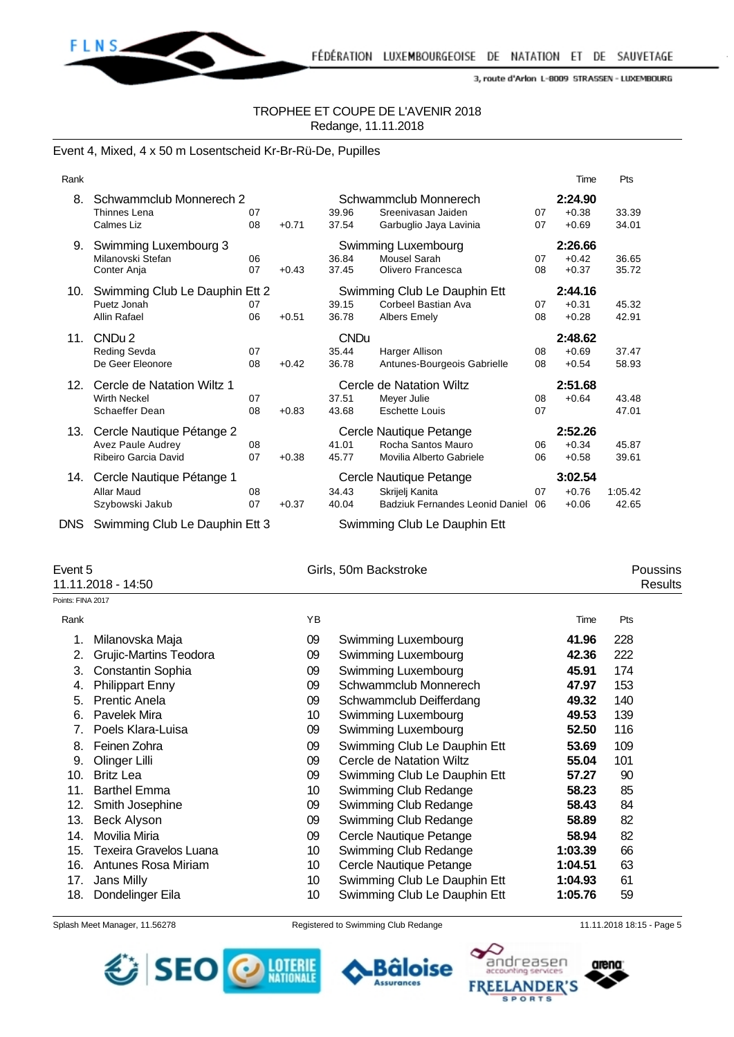

### TROPHEE ET COUPE DE L'AVENIR 2018 Redange, 11.11.2018

#### Event 4, Mixed, 4 x 50 m Losentscheid Kr-Br-Rü-De, Pupilles

| Rank |                                                                |    |         |                          |                                 |         | Time    | Pts     |
|------|----------------------------------------------------------------|----|---------|--------------------------|---------------------------------|---------|---------|---------|
| 8.   | Schwammclub Monnerech 2                                        |    |         | Schwammclub Monnerech    |                                 |         | 2:24.90 |         |
|      | Thinnes Lena                                                   | 07 |         | 39.96                    | Sreenivasan Jaiden              | 07      | $+0.38$ | 33.39   |
|      | <b>Calmes Liz</b>                                              | 08 | $+0.71$ | 37.54                    | Garbuglio Jaya Lavinia          | 07      | $+0.69$ | 34.01   |
| 9.   | Swimming Luxembourg 3                                          |    |         |                          | Swimming Luxembourg             |         | 2:26.66 |         |
|      | Milanovski Stefan                                              | 06 |         | 36.84                    | Mousel Sarah                    | 07      | $+0.42$ | 36.65   |
|      | Conter Anja                                                    | 07 | $+0.43$ | 37.45                    | Olivero Francesca               | 08      | $+0.37$ | 35.72   |
| 10.  | Swimming Club Le Dauphin Ett 2<br>Swimming Club Le Dauphin Ett |    |         |                          |                                 | 2:44.16 |         |         |
|      | Puetz Jonah                                                    | 07 |         | 39.15                    | Corbeel Bastian Ava             | 07      | $+0.31$ | 45.32   |
|      | Allin Rafael                                                   | 06 | $+0.51$ | 36.78                    | Albers Emely                    | 08      | $+0.28$ | 42.91   |
| 11.  | CND <sub>u</sub> 2<br><b>CNDu</b>                              |    |         |                          |                                 |         | 2:48.62 |         |
|      | Reding Sevda                                                   | 07 |         | 35.44                    | Harger Allison                  | 08      | $+0.69$ | 37.47   |
|      | De Geer Eleonore                                               | 08 | $+0.42$ | 36.78                    | Antunes-Bourgeois Gabrielle     | 08      | $+0.54$ | 58.93   |
| 12.  | Cercle de Natation Wiltz 1                                     |    |         | Cercle de Natation Wiltz |                                 |         | 2:51.68 |         |
|      | <b>Wirth Neckel</b>                                            | 07 |         | 37.51                    | Meyer Julie                     | 08      | $+0.64$ | 43.48   |
|      | Schaeffer Dean                                                 | 08 | $+0.83$ | 43.68                    | Eschette Louis                  | 07      |         | 47.01   |
| 13.  | Cercle Nautique Pétange 2                                      |    |         |                          | Cercle Nautique Petange         |         | 2:52.26 |         |
|      | <b>Avez Paule Audrey</b>                                       | 08 |         | 41.01                    | Rocha Santos Mauro              | 06      | $+0.34$ | 45.87   |
|      | Ribeiro Garcia David                                           | 07 | $+0.38$ | 45.77                    | Movilia Alberto Gabriele        | 06      | $+0.58$ | 39.61   |
| 14.  | Cercle Nautique Pétange 1                                      |    |         | Cercle Nautique Petange  |                                 |         | 3:02.54 |         |
|      | <b>Allar Maud</b>                                              | 08 |         | 34.43                    | Skrijelj Kanita                 | 07      | $+0.76$ | 1:05.42 |
|      | Szybowski Jakub                                                | 07 | $+0.37$ | 40.04                    | Badziuk Fernandes Leonid Daniel | 06      | $+0.06$ | 42.65   |
| DNS. | Swimming Club Le Dauphin Ett 3                                 |    |         |                          | Swimming Club Le Dauphin Ett    |         |         |         |

## Event 5 Girls, 50m Backstroke **Poussins Community** Girls, 50m Backstroke **Poussins** 11.11.2018 - 14:50 Results Points: FINA 2017 Rank **Rank Time Pts Proposed and Proposed Area** Time Pts and Proposed and Proposed and Proposed and Proposed and Proposed and Proposed and Proposed and Proposed and Proposed and Proposed and Proposed and Proposed and Pro 1. Milanovska Maja 09 Swimming Luxembourg **41.96** 228 2. Grujic-Martins Teodora 09 Swimming Luxembourg **42.36** 222 3. Constantin Sophia 09 Swimming Luxembourg **45.91** 174 4. Philippart Enny 09 Schwammclub Monnerech **47.97** 153 5. Prentic Anela 09 Schwammclub Deifferdang **49.32** 140 6. Pavelek Mira 10 Swimming Luxembourg **49.53** 139 7. Poels Klara-Luisa 09 Swimming Luxembourg **52.50** 116 8. Feinen Zohra 09 Swimming Club Le Dauphin Ett **53.69** 109 9. Olinger Lilli 09 Cercle de Natation Wiltz **55.04** 101 10. Britz Lea 09 Swimming Club Le Dauphin Ett **57.27** 90 11. Barthel Emma 10 Swimming Club Redange **58.23** 85 12. Smith Josephine 09 Swimming Club Redange **58.43** 84 13. Beck Alyson 09 Swimming Club Redange **58.89** 82 14. Movilia Miria 09 Cercle Nautique Petange **58.94** 82 15. Texeira Gravelos Luana 10 Swimming Club Redange **1:03.39** 66 16. Antunes Rosa Miriam 10 Cercle Nautique Petange **1:04.51** 63 17. Jans Milly 10 Swimming Club Le Dauphin Ett **1:04.93** 61

18. Dondelinger Eila 10 Swimming Club Le Dauphin Ett **1:05.76** 59

Splash Meet Manager, 11.56278 **Registered to Swimming Club Redange** 11.11.2018 18:15 - Page 5





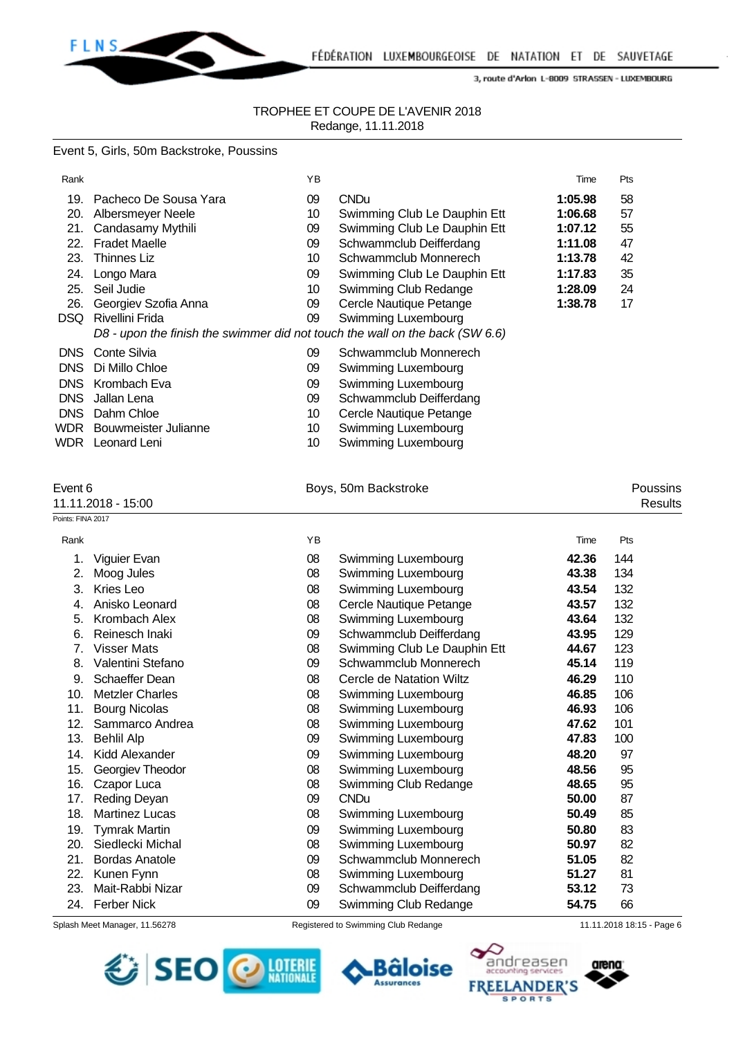

FLNS\_

3, route d'Arlon L-8009 STRASSEN - LUXEMBOURG

## TROPHEE ET COUPE DE L'AVENIR 2018 Redange, 11.11.2018

#### Event 5, Girls, 50m Backstroke, Poussins

| Rank       |                                                                              | ΥB |                              | Time    | Pts |
|------------|------------------------------------------------------------------------------|----|------------------------------|---------|-----|
| 19.        | Pacheco De Sousa Yara                                                        | 09 | <b>CNDu</b>                  | 1:05.98 | 58  |
| 20.        | Albersmeyer Neele                                                            | 10 | Swimming Club Le Dauphin Ett | 1:06.68 | 57  |
| 21.        | Candasamy Mythili                                                            | 09 | Swimming Club Le Dauphin Ett | 1:07.12 | 55  |
| 22.        | <b>Fradet Maelle</b>                                                         | 09 | Schwammclub Deifferdang      | 1:11.08 | 47  |
| 23.        | Thinnes Liz                                                                  | 10 | Schwammclub Monnerech        | 1:13.78 | 42  |
| 24.        | Longo Mara                                                                   | 09 | Swimming Club Le Dauphin Ett | 1:17.83 | 35  |
| 25.        | Seil Judie                                                                   | 10 | Swimming Club Redange        | 1:28.09 | 24  |
| 26.        | Georgiev Szofia Anna                                                         | 09 | Cercle Nautique Petange      | 1:38.78 | 17  |
| DSQ        | Rivellini Frida                                                              | 09 | Swimming Luxembourg          |         |     |
|            | D8 - upon the finish the swimmer did not touch the wall on the back (SW 6.6) |    |                              |         |     |
| DNS.       | Conte Silvia                                                                 | 09 | Schwammclub Monnerech        |         |     |
| <b>DNS</b> | Di Millo Chloe                                                               | 09 | Swimming Luxembourg          |         |     |
| <b>DNS</b> | Krombach Eva                                                                 | 09 | Swimming Luxembourg          |         |     |
| <b>DNS</b> | Jallan Lena                                                                  | 09 | Schwammclub Deifferdang      |         |     |
| <b>DNS</b> | Dahm Chloe                                                                   | 10 | Cercle Nautique Petange      |         |     |
| WDR        | Bouwmeister Julianne                                                         | 10 | Swimming Luxembourg          |         |     |
|            | WDR Leonard Leni                                                             | 10 | Swimming Luxembourg          |         |     |

Event 6 **Boys**, 50m Backstroke **Research Access Poussins** Poussins

11.11.2018 - 15:00 Results

| Points: FINA 2017 |                        |    |                              |       |     |
|-------------------|------------------------|----|------------------------------|-------|-----|
| Rank              |                        | YB |                              | Time  | Pts |
| 1.                | Viguier Evan           | 08 | Swimming Luxembourg          | 42.36 | 144 |
| 2.                | Moog Jules             | 08 | Swimming Luxembourg          | 43.38 | 134 |
| 3.                | Kries Leo              | 08 | Swimming Luxembourg          | 43.54 | 132 |
| 4.                | Anisko Leonard         | 08 | Cercle Nautique Petange      | 43.57 | 132 |
| 5.                | Krombach Alex          | 08 | Swimming Luxembourg          | 43.64 | 132 |
| 6.                | Reinesch Inaki         | 09 | Schwammclub Deifferdang      | 43.95 | 129 |
| 7.                | <b>Visser Mats</b>     | 08 | Swimming Club Le Dauphin Ett | 44.67 | 123 |
| 8.                | Valentini Stefano      | 09 | Schwammclub Monnerech        | 45.14 | 119 |
| 9.                | <b>Schaeffer Dean</b>  | 08 | Cercle de Natation Wiltz     | 46.29 | 110 |
| 10.               | <b>Metzler Charles</b> | 08 | Swimming Luxembourg          | 46.85 | 106 |
| 11.               | <b>Bourg Nicolas</b>   | 08 | Swimming Luxembourg          | 46.93 | 106 |
| 12.               | Sammarco Andrea        | 08 | Swimming Luxembourg          | 47.62 | 101 |
| 13.               | <b>Behlil Alp</b>      | 09 | Swimming Luxembourg          | 47.83 | 100 |
| 14.               | Kidd Alexander         | 09 | Swimming Luxembourg          | 48.20 | 97  |
| 15.               | Georgiev Theodor       | 08 | Swimming Luxembourg          | 48.56 | 95  |
| 16.               | Czapor Luca            | 08 | Swimming Club Redange        | 48.65 | 95  |
| 17.               | Reding Deyan           | 09 | <b>CNDu</b>                  | 50.00 | 87  |
| 18.               | <b>Martinez Lucas</b>  | 08 | Swimming Luxembourg          | 50.49 | 85  |
| 19.               | <b>Tymrak Martin</b>   | 09 | Swimming Luxembourg          | 50.80 | 83  |
| 20.               | Siedlecki Michal       | 08 | <b>Swimming Luxembourg</b>   | 50.97 | 82  |
| 21.               | <b>Bordas Anatole</b>  | 09 | Schwammclub Monnerech        | 51.05 | 82  |
| 22.               | Kunen Fynn             | 08 | Swimming Luxembourg          | 51.27 | 81  |
| 23.               | Mait-Rabbi Nizar       | 09 | Schwammclub Deifferdang      | 53.12 | 73  |
| 24.               | <b>Ferber Nick</b>     | 09 | Swimming Club Redange        | 54.75 | 66  |

Splash Meet Manager, 11.56278 **Registered to Swimming Club Redange** 11.11.2018 18:15 - Page 6







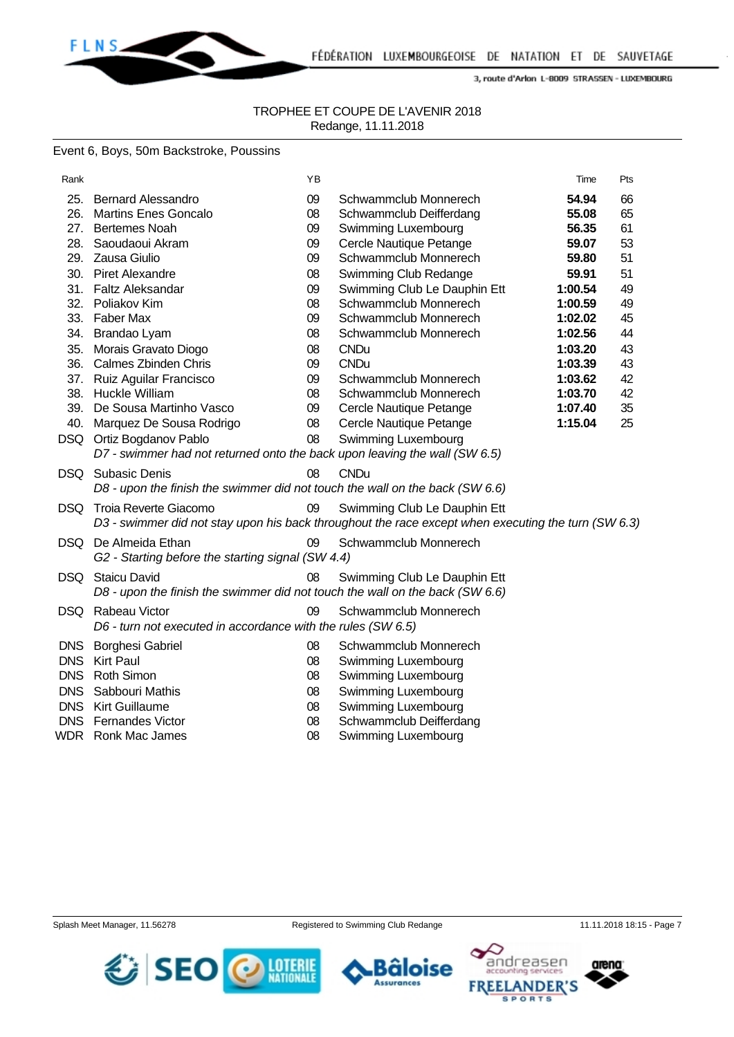FÉDÉRATION LUXEMBOURGEOISE DE NATATION ET DE SAUVETAGE



3, route d'Arlon L-8009 STRASSEN - LUXEMBOURG

## TROPHEE ET COUPE DE L'AVENIR 2018 Redange, 11.11.2018

#### Event 6, Boys, 50m Backstroke, Poussins

| Rank       |                                                                              | YB |                                                                                                     | Time    | Pts |
|------------|------------------------------------------------------------------------------|----|-----------------------------------------------------------------------------------------------------|---------|-----|
| 25.        | <b>Bernard Alessandro</b>                                                    | 09 | Schwammclub Monnerech                                                                               | 54.94   | 66  |
|            | 26. Martins Enes Goncalo                                                     | 08 | Schwammclub Deifferdang                                                                             | 55.08   | 65  |
| 27.        | <b>Bertemes Noah</b>                                                         | 09 | Swimming Luxembourg                                                                                 | 56.35   | 61  |
|            | 28. Saoudaoui Akram                                                          | 09 | Cercle Nautique Petange                                                                             | 59.07   | 53  |
|            | 29. Zausa Giulio                                                             | 09 | Schwammclub Monnerech                                                                               | 59.80   | 51  |
|            | 30. Piret Alexandre                                                          | 08 | Swimming Club Redange                                                                               | 59.91   | 51  |
| 31.        | Faltz Aleksandar                                                             | 09 | Swimming Club Le Dauphin Ett                                                                        | 1:00.54 | 49  |
| 32.        | Poliakov Kim                                                                 | 08 | Schwammclub Monnerech                                                                               | 1:00.59 | 49  |
|            | 33. Faber Max                                                                | 09 | Schwammclub Monnerech                                                                               | 1:02.02 | 45  |
|            | 34. Brandao Lyam                                                             | 08 | Schwammclub Monnerech                                                                               | 1:02.56 | 44  |
|            | 35. Morais Gravato Diogo                                                     | 08 | <b>CNDu</b>                                                                                         | 1:03.20 | 43  |
|            | 36. Calmes Zbinden Chris                                                     | 09 | <b>CNDu</b>                                                                                         | 1:03.39 | 43  |
|            | 37. Ruiz Aguilar Francisco                                                   | 09 | Schwammclub Monnerech                                                                               | 1:03.62 | 42  |
|            | 38. Huckle William                                                           | 08 | Schwammclub Monnerech                                                                               | 1:03.70 | 42  |
|            | 39. De Sousa Martinho Vasco                                                  | 09 | Cercle Nautique Petange                                                                             | 1:07.40 | 35  |
|            | 40. Marquez De Sousa Rodrigo                                                 | 08 | Cercle Nautique Petange                                                                             | 1:15.04 | 25  |
|            | DSQ Ortiz Bogdanov Pablo                                                     | 08 | Swimming Luxembourg                                                                                 |         |     |
|            | D7 - swimmer had not returned onto the back upon leaving the wall (SW 6.5)   |    |                                                                                                     |         |     |
|            | DSQ Subasic Denis                                                            | 08 | <b>CNDu</b>                                                                                         |         |     |
|            | D8 - upon the finish the swimmer did not touch the wall on the back (SW 6.6) |    |                                                                                                     |         |     |
| DSQ.       | Troia Reverte Giacomo                                                        | 09 | Swimming Club Le Dauphin Ett                                                                        |         |     |
|            |                                                                              |    | D3 - swimmer did not stay upon his back throughout the race except when executing the turn (SW 6.3) |         |     |
|            | DSQ De Almeida Ethan                                                         | 09 | Schwammclub Monnerech                                                                               |         |     |
|            | G2 - Starting before the starting signal (SW 4.4)                            |    |                                                                                                     |         |     |
| DSQ        | <b>Staicu David</b>                                                          | 08 | Swimming Club Le Dauphin Ett                                                                        |         |     |
|            | D8 - upon the finish the swimmer did not touch the wall on the back (SW 6.6) |    |                                                                                                     |         |     |
|            | DSQ Rabeau Victor                                                            | 09 | Schwammclub Monnerech                                                                               |         |     |
|            | D6 - turn not executed in accordance with the rules (SW 6.5)                 |    |                                                                                                     |         |     |
| <b>DNS</b> | <b>Borghesi Gabriel</b>                                                      | 08 | Schwammclub Monnerech                                                                               |         |     |
| <b>DNS</b> | <b>Kirt Paul</b>                                                             | 08 | Swimming Luxembourg                                                                                 |         |     |
| <b>DNS</b> | <b>Roth Simon</b>                                                            | 08 | Swimming Luxembourg                                                                                 |         |     |
| <b>DNS</b> | Sabbouri Mathis                                                              | 08 | Swimming Luxembourg                                                                                 |         |     |
|            | <b>DNS</b> Kirt Guillaume                                                    | 08 | Swimming Luxembourg                                                                                 |         |     |
| <b>DNS</b> | <b>Fernandes Victor</b>                                                      | 08 | Schwammclub Deifferdang                                                                             |         |     |
|            | <b>WDR</b> Ronk Mac James                                                    | 08 | Swimming Luxembourg                                                                                 |         |     |
|            |                                                                              |    |                                                                                                     |         |     |





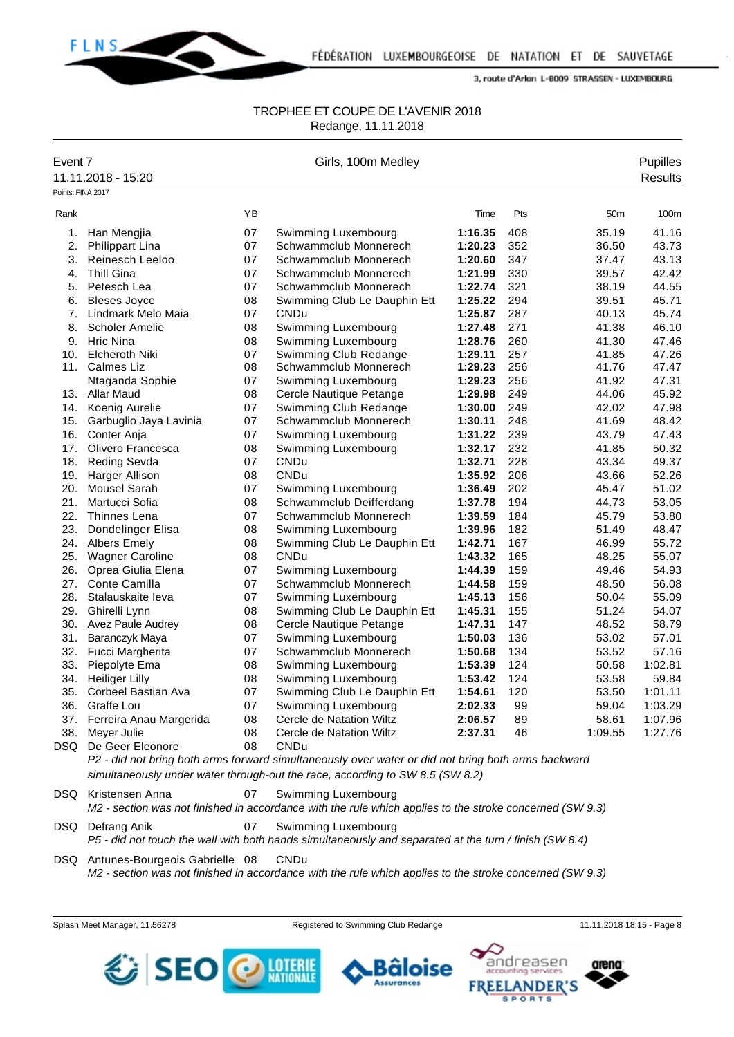

### TROPHEE ET COUPE DE L'AVENIR 2018 Redange, 11.11.2018

| Event 7<br>11.11.2018 - 15:20 |                            |    | Girls, 100m Medley                                                                                            |         |     |                 | <b>Pupilles</b><br><b>Results</b> |
|-------------------------------|----------------------------|----|---------------------------------------------------------------------------------------------------------------|---------|-----|-----------------|-----------------------------------|
| Points: FINA 2017             |                            |    |                                                                                                               |         |     |                 |                                   |
| Rank                          |                            | YB |                                                                                                               | Time    | Pts | 50 <sub>m</sub> | 100m                              |
| 1.                            | Han Mengjia                | 07 | Swimming Luxembourg                                                                                           | 1:16.35 | 408 | 35.19           | 41.16                             |
| 2.                            | <b>Philippart Lina</b>     | 07 | Schwammclub Monnerech                                                                                         | 1:20.23 | 352 | 36.50           | 43.73                             |
| 3.                            | Reinesch Leeloo            | 07 | Schwammclub Monnerech                                                                                         | 1:20.60 | 347 | 37.47           | 43.13                             |
| 4.                            | <b>Thill Gina</b>          | 07 | Schwammclub Monnerech                                                                                         | 1:21.99 | 330 | 39.57           | 42.42                             |
|                               | 5. Petesch Lea             | 07 | Schwammclub Monnerech                                                                                         | 1:22.74 | 321 | 38.19           | 44.55                             |
| 6.                            | <b>Bleses Joyce</b>        | 08 | Swimming Club Le Dauphin Ett                                                                                  | 1:25.22 | 294 | 39.51           | 45.71                             |
| 7.                            | Lindmark Melo Maia         | 07 | <b>CNDu</b>                                                                                                   | 1:25.87 | 287 | 40.13           | 45.74                             |
| 8.                            | <b>Scholer Amelie</b>      | 08 | Swimming Luxembourg                                                                                           | 1:27.48 | 271 | 41.38           | 46.10                             |
|                               | 9. Hric Nina               | 08 | Swimming Luxembourg                                                                                           | 1:28.76 | 260 | 41.30           | 47.46                             |
| 10.                           | <b>Elcheroth Niki</b>      | 07 | Swimming Club Redange                                                                                         | 1:29.11 | 257 | 41.85           | 47.26                             |
|                               | 11. Calmes Liz             | 08 | Schwammclub Monnerech                                                                                         | 1:29.23 | 256 | 41.76           | 47.47                             |
|                               | Ntaganda Sophie            | 07 | Swimming Luxembourg                                                                                           | 1:29.23 | 256 | 41.92           | 47.31                             |
|                               | 13. Allar Maud             | 08 | Cercle Nautique Petange                                                                                       | 1:29.98 | 249 | 44.06           | 45.92                             |
|                               | 14. Koenig Aurelie         | 07 | Swimming Club Redange                                                                                         | 1:30.00 | 249 | 42.02           | 47.98                             |
|                               | 15. Garbuglio Jaya Lavinia | 07 | Schwammclub Monnerech                                                                                         | 1:30.11 | 248 | 41.69           | 48.42                             |
|                               | 16. Conter Anja            | 07 | Swimming Luxembourg                                                                                           | 1:31.22 | 239 | 43.79           | 47.43                             |
| 17.                           | Olivero Francesca          | 08 | Swimming Luxembourg                                                                                           | 1:32.17 | 232 | 41.85           | 50.32                             |
| 18.                           | Reding Sevda               | 07 | <b>CNDu</b>                                                                                                   | 1:32.71 | 228 | 43.34           | 49.37                             |
| 19.                           | Harger Allison             | 08 | <b>CNDu</b>                                                                                                   | 1:35.92 | 206 | 43.66           | 52.26                             |
|                               | 20. Mousel Sarah           | 07 | Swimming Luxembourg                                                                                           | 1:36.49 | 202 | 45.47           | 51.02                             |
| 21.                           | Martucci Sofia             | 08 | Schwammclub Deifferdang                                                                                       | 1:37.78 | 194 | 44.73           | 53.05                             |
| 22.                           | <b>Thinnes Lena</b>        | 07 | Schwammclub Monnerech                                                                                         | 1:39.59 | 184 | 45.79           | 53.80                             |
| 23.                           | Dondelinger Elisa          | 08 | Swimming Luxembourg                                                                                           | 1:39.96 | 182 | 51.49           | 48.47                             |
|                               | 24. Albers Emely           | 08 | Swimming Club Le Dauphin Ett                                                                                  | 1:42.71 | 167 | 46.99           | 55.72                             |
| 25.                           | <b>Wagner Caroline</b>     | 08 | CNDu                                                                                                          | 1:43.32 | 165 | 48.25           | 55.07                             |
| 26.                           | Oprea Giulia Elena         | 07 | Swimming Luxembourg                                                                                           | 1:44.39 | 159 | 49.46           | 54.93                             |
| 27.                           | Conte Camilla              | 07 | Schwammclub Monnerech                                                                                         | 1:44.58 | 159 | 48.50           | 56.08                             |
| 28.                           | Stalauskaite leva          | 07 | Swimming Luxembourg                                                                                           | 1:45.13 | 156 | 50.04           | 55.09                             |
| 29.                           | Ghirelli Lynn              | 08 | Swimming Club Le Dauphin Ett                                                                                  | 1:45.31 | 155 | 51.24           | 54.07                             |
|                               | 30. Avez Paule Audrey      | 08 | Cercle Nautique Petange                                                                                       | 1:47.31 | 147 | 48.52           | 58.79                             |
| 31.                           | Baranczyk Maya             | 07 | Swimming Luxembourg                                                                                           | 1:50.03 | 136 | 53.02           | 57.01                             |
| 32.                           | Fucci Margherita           | 07 | Schwammclub Monnerech                                                                                         | 1:50.68 | 134 | 53.52           | 57.16                             |
| 33.                           | Piepolyte Ema              | 08 | Swimming Luxembourg                                                                                           | 1:53.39 | 124 | 50.58           | 1:02.81                           |
| 34.                           | <b>Heiliger Lilly</b>      | 08 | Swimming Luxembourg                                                                                           | 1:53.42 | 124 | 53.58           | 59.84                             |
| 35.                           | Corbeel Bastian Ava        | 07 | Swimming Club Le Dauphin Ett                                                                                  | 1:54.61 | 120 | 53.50           | 1:01.11                           |
|                               | 36. Graffe Lou             | 07 | Swimming Luxembourg                                                                                           | 2:02.33 | 99  | 59.04           | 1:03.29                           |
| 37.                           | Ferreira Anau Margerida    | 08 | Cercle de Natation Wiltz                                                                                      | 2:06.57 | 89  | 58.61           | 1:07.96                           |
| 38.                           | Meyer Julie                | 08 | Cercle de Natation Wiltz                                                                                      | 2:37.31 | 46  | 1:09.55         | 1:27.76                           |
| DSQ                           | De Geer Eleonore           | 08 | CNDu<br>DO, alid wat kujua kath anno faminaid aimi itanagushi guan watan an did nat kujua kath anno kagluward |         |     |                 |                                   |

*P2 - did not bring both arms forward simultaneously over water or did not bring both arms backward simultaneously under water through-out the race, according to SW 8.5 (SW 8.2)*

- DSQ Kristensen Anna **07** Swimming Luxembourg *M2 - section was not finished in accordance with the rule which applies to the stroke concerned (SW 9.3)*
- DSQ Defrang Anik 07 Swimming Luxembourg
- *P5 did not touch the wall with both hands simultaneously and separated at the turn / finish (SW 8.4)*
- DSQ Antunes-Bourgeois Gabrielle 08 CNDu *M2 - section was not finished in accordance with the rule which applies to the stroke concerned (SW 9.3)*

Splash Meet Manager, 11.56278 **Registered to Swimming Club Redange** 11.11.2018 18:15 - Page 8







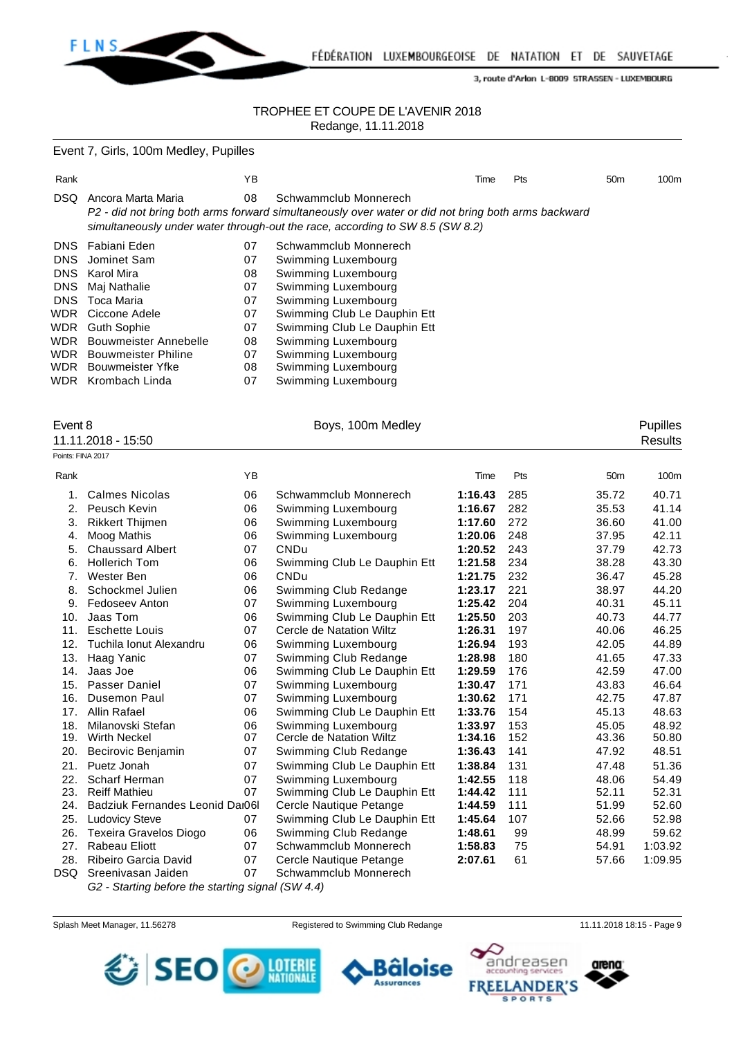

FÉDÉRATION LUXEMBOURGEOISE DE NATATION ET DE SAUVETAGE

3, route d'Arlon L-8009 STRASSEN - LUXEMBOURG

## TROPHEE ET COUPE DE L'AVENIR 2018 Redange, 11.11.2018

Event 7, Girls, 100m Medley, Pupilles

| Rank                                                          |                                                                                                                                                                                                                                          | ΥB                                           |                                                                                                                                                                                                          | Time | <b>Pts</b> | 50 <sub>m</sub> | 100m |  |
|---------------------------------------------------------------|------------------------------------------------------------------------------------------------------------------------------------------------------------------------------------------------------------------------------------------|----------------------------------------------|----------------------------------------------------------------------------------------------------------------------------------------------------------------------------------------------------------|------|------------|-----------------|------|--|
| DSQ.                                                          | Ancora Marta Maria<br>08<br>Schwammclub Monnerech<br>P2 - did not bring both arms forward simultaneously over water or did not bring both arms backward<br>simultaneously under water through-out the race, according to SW 8.5 (SW 8.2) |                                              |                                                                                                                                                                                                          |      |            |                 |      |  |
| DNS.<br><b>DNS</b><br><b>DNS</b><br><b>DNS</b><br>DNS.<br>WDR | Fabiani Eden<br>Jominet Sam<br>Karol Mira<br>Maj Nathalie<br>Toca Maria<br>WDR Ciccone Adele<br><b>Guth Sophie</b><br><b>WDR</b> Bouwmeister Annebelle                                                                                   | 07<br>07<br>08<br>07<br>07<br>07<br>07<br>08 | Schwammclub Monnerech<br>Swimming Luxembourg<br>Swimming Luxembourg<br>Swimming Luxembourg<br>Swimming Luxembourg<br>Swimming Club Le Dauphin Ett<br>Swimming Club Le Dauphin Ett<br>Swimming Luxembourg |      |            |                 |      |  |
| WDR<br>WDR<br>WDR                                             | <b>Bouwmeister Philine</b><br><b>Bouwmeister Yfke</b><br>Krombach Linda                                                                                                                                                                  | 07<br>08<br>07                               | Swimming Luxembourg<br>Swimming Luxembourg<br>Swimming Luxembourg                                                                                                                                        |      |            |                 |      |  |

| Event 8           | 11.11.2018 - 15:50              |    | Boys, 100m Medley            |         |     |                 | <b>Pupilles</b><br><b>Results</b> |
|-------------------|---------------------------------|----|------------------------------|---------|-----|-----------------|-----------------------------------|
| Points: FINA 2017 |                                 |    |                              |         |     |                 |                                   |
| Rank              |                                 | YB |                              | Time    | Pts | 50 <sub>m</sub> | 100m                              |
| 1.                | <b>Calmes Nicolas</b>           | 06 | Schwammclub Monnerech        | 1:16.43 | 285 | 35.72           | 40.71                             |
| 2.                | Peusch Kevin                    | 06 | Swimming Luxembourg          | 1:16.67 | 282 | 35.53           | 41.14                             |
| 3.                | <b>Rikkert Thijmen</b>          | 06 | Swimming Luxembourg          | 1:17.60 | 272 | 36.60           | 41.00                             |
| 4.                | Moog Mathis                     | 06 | Swimming Luxembourg          | 1:20.06 | 248 | 37.95           | 42.11                             |
| 5.                | <b>Chaussard Albert</b>         | 07 | <b>CNDu</b>                  | 1:20.52 | 243 | 37.79           | 42.73                             |
| 6.                | <b>Hollerich Tom</b>            | 06 | Swimming Club Le Dauphin Ett | 1:21.58 | 234 | 38.28           | 43.30                             |
| 7.                | Wester Ben                      | 06 | <b>CNDu</b>                  | 1:21.75 | 232 | 36.47           | 45.28                             |
| 8.                | Schockmel Julien                | 06 | Swimming Club Redange        | 1:23.17 | 221 | 38.97           | 44.20                             |
| 9.                | <b>Fedoseev Anton</b>           | 07 | Swimming Luxembourg          | 1:25.42 | 204 | 40.31           | 45.11                             |
| 10.               | Jaas Tom                        | 06 | Swimming Club Le Dauphin Ett | 1:25.50 | 203 | 40.73           | 44.77                             |
| 11.               | <b>Eschette Louis</b>           | 07 | Cercle de Natation Wiltz     | 1:26.31 | 197 | 40.06           | 46.25                             |
| 12.               | Tuchila Ionut Alexandru         | 06 | Swimming Luxembourg          | 1:26.94 | 193 | 42.05           | 44.89                             |
| 13.               | Haag Yanic                      | 07 | Swimming Club Redange        | 1:28.98 | 180 | 41.65           | 47.33                             |
| 14.               | Jaas Joe                        | 06 | Swimming Club Le Dauphin Ett | 1:29.59 | 176 | 42.59           | 47.00                             |
| 15.               | Passer Daniel                   | 07 | Swimming Luxembourg          | 1:30.47 | 171 | 43.83           | 46.64                             |
| 16.               | <b>Dusemon Paul</b>             | 07 | Swimming Luxembourg          | 1:30.62 | 171 | 42.75           | 47.87                             |
| 17.               | Allin Rafael                    | 06 | Swimming Club Le Dauphin Ett | 1:33.76 | 154 | 45.13           | 48.63                             |
| 18.               | Milanovski Stefan               | 06 | Swimming Luxembourg          | 1:33.97 | 153 | 45.05           | 48.92                             |
| 19.               | <b>Wirth Neckel</b>             | 07 | Cercle de Natation Wiltz     | 1:34.16 | 152 | 43.36           | 50.80                             |
| 20.               | Becirovic Benjamin              | 07 | Swimming Club Redange        | 1:36.43 | 141 | 47.92           | 48.51                             |
| 21.               | Puetz Jonah                     | 07 | Swimming Club Le Dauphin Ett | 1:38.84 | 131 | 47.48           | 51.36                             |
| 22.               | Scharf Herman                   | 07 | Swimming Luxembourg          | 1:42.55 | 118 | 48.06           | 54.49                             |
| 23.               | <b>Reiff Mathieu</b>            | 07 | Swimming Club Le Dauphin Ett | 1:44.42 | 111 | 52.11           | 52.31                             |
| 24.               | Badziuk Fernandes Leonid Dar06I |    | Cercle Nautique Petange      | 1:44.59 | 111 | 51.99           | 52.60                             |
| 25.               | <b>Ludovicy Steve</b>           | 07 | Swimming Club Le Dauphin Ett | 1:45.64 | 107 | 52.66           | 52.98                             |
| 26.               | Texeira Gravelos Diogo          | 06 | Swimming Club Redange        | 1:48.61 | 99  | 48.99           | 59.62                             |
| 27.               | Rabeau Eliott                   | 07 | Schwammclub Monnerech        | 1:58.83 | 75  | 54.91           | 1:03.92                           |
| 28.               | Ribeiro Garcia David            | 07 | Cercle Nautique Petange      | 2:07.61 | 61  | 57.66           | 1:09.95                           |
| <b>DSQ</b>        | Sreenivasan Jaiden              | 07 | Schwammclub Monnerech        |         |     |                 |                                   |

*G2 - Starting before the starting signal (SW 4.4)*

Splash Meet Manager, 11.56278 Registered to Swimming Club Redange 11.11.2018 18:15 - Page 9

äloise

**Assurances** 





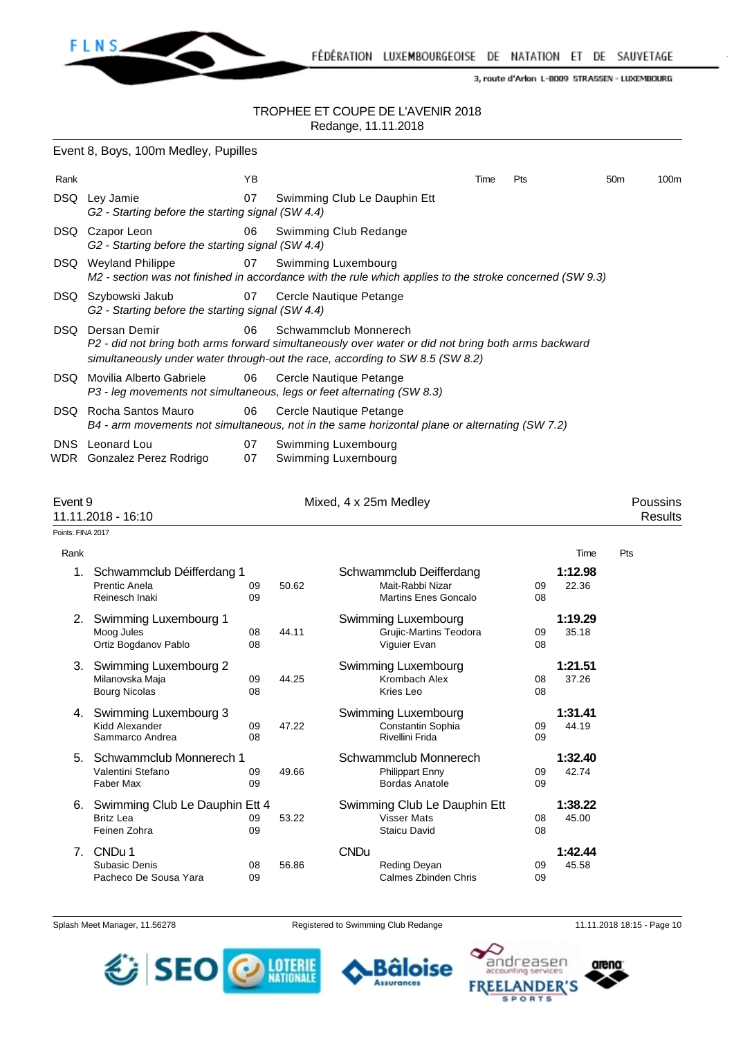

FÉDÉRATION LUXEMBOURGEOISE DE NATATION ET DE SAUVETAGE

3, route d'Arlon L-8009 STRASSEN - LUXEMBOURG

#### TROPHEE ET COUPE DE L'AVENIR 2018 Redange, 11.11.2018

|                   | Event 8, Boys, 100m Medley, Pupilles                                                                                                                                                                           |          |       |                                                                            |      |          |                  |                 |                            |
|-------------------|----------------------------------------------------------------------------------------------------------------------------------------------------------------------------------------------------------------|----------|-------|----------------------------------------------------------------------------|------|----------|------------------|-----------------|----------------------------|
| Rank              |                                                                                                                                                                                                                | ΥB       |       |                                                                            | Time | Pts      |                  | 50 <sub>m</sub> | 100m                       |
|                   | DSQ Ley Jamie<br>G2 - Starting before the starting signal (SW 4.4)                                                                                                                                             | 07       |       | Swimming Club Le Dauphin Ett                                               |      |          |                  |                 |                            |
|                   | DSQ Czapor Leon<br>G2 - Starting before the starting signal (SW 4.4)                                                                                                                                           | 06       |       | Swimming Club Redange                                                      |      |          |                  |                 |                            |
|                   | DSQ Weyland Philippe<br>M2 - section was not finished in accordance with the rule which applies to the stroke concerned (SW 9.3)                                                                               | 07       |       | Swimming Luxembourg                                                        |      |          |                  |                 |                            |
|                   | DSQ Szybowski Jakub<br>G2 - Starting before the starting signal (SW 4.4)                                                                                                                                       | 07       |       | Cercle Nautique Petange                                                    |      |          |                  |                 |                            |
|                   | <b>DSQ</b> Dersan Demir<br>P2 - did not bring both arms forward simultaneously over water or did not bring both arms backward<br>simultaneously under water through-out the race, according to SW 8.5 (SW 8.2) | 06       |       | Schwammclub Monnerech                                                      |      |          |                  |                 |                            |
| DSQ.              | Movilia Alberto Gabriele<br>P3 - leg movements not simultaneous, legs or feet alternating (SW 8.3)                                                                                                             | 06       |       | Cercle Nautique Petange                                                    |      |          |                  |                 |                            |
|                   | DSQ Rocha Santos Mauro<br>B4 - arm movements not simultaneous, not in the same horizontal plane or alternating (SW 7.2)                                                                                        | 06       |       | Cercle Nautique Petange                                                    |      |          |                  |                 |                            |
| <b>DNS</b>        | Leonard Lou<br>WDR Gonzalez Perez Rodrigo                                                                                                                                                                      | 07<br>07 |       | Swimming Luxembourg<br>Swimming Luxembourg                                 |      |          |                  |                 |                            |
| Event 9           | 11.11.2018 - 16:10                                                                                                                                                                                             |          |       | Mixed, 4 x 25m Medley                                                      |      |          |                  |                 | Poussins<br><b>Results</b> |
| Points: FINA 2017 |                                                                                                                                                                                                                |          |       |                                                                            |      |          |                  |                 |                            |
| Rank              |                                                                                                                                                                                                                |          |       |                                                                            |      |          | Time             | Pts             |                            |
| 1.                | Schwammclub Déifferdang 1<br><b>Prentic Anela</b><br>Reinesch Inaki                                                                                                                                            | 09<br>09 | 50.62 | Schwammclub Deifferdang<br>Mait-Rabbi Nizar<br><b>Martins Enes Goncalo</b> |      | 09<br>08 | 1:12.98<br>22.36 |                 |                            |
|                   | 2. Swimming Luxembourg 1<br>Moog Jules<br>Ortiz Bogdanov Pablo                                                                                                                                                 | 08<br>08 | 44.11 | Swimming Luxembourg<br><b>Grujic-Martins Teodora</b><br>Viguier Evan       |      | 09<br>08 | 1:19.29<br>35.18 |                 |                            |
|                   | 3. Swimming Luxembourg 2<br>Milanovska Maja<br><b>Bourg Nicolas</b>                                                                                                                                            | 09<br>08 | 44.25 | Swimming Luxembourg<br>Krombach Alex<br>Kries Leo                          |      | 08<br>08 | 1:21.51<br>37.26 |                 |                            |
|                   | 4. Swimming Luxembourg 3<br>Kidd Alexander<br>Sammarco Andrea                                                                                                                                                  | 09<br>08 | 47.22 | Swimming Luxembourg<br>Constantin Sophia<br>Rivellini Frida                |      | 09<br>09 | 1:31.41<br>44.19 |                 |                            |
|                   | 5. Schwammclub Monnerech 1<br>Valentini Stefano<br>Faber Max                                                                                                                                                   | 09<br>09 | 49.66 | Schwammclub Monnerech<br><b>Philippart Enny</b><br><b>Bordas Anatole</b>   |      | 09<br>09 | 1:32.40<br>42.74 |                 |                            |
|                   | 6. Swimming Club Le Dauphin Ett 4<br><b>Britz Lea</b><br>Feinen Zohra                                                                                                                                          | 09<br>09 | 53.22 | Swimming Club Le Dauphin Ett<br><b>Visser Mats</b><br><b>Staicu David</b>  |      | 08<br>08 | 1:38.22<br>45.00 |                 |                            |

7. CNDu 1 CNDu **1:42.44** Pacheco De Sousa Yara  $09$  Calmes Zbinden Chris  $09$ 

Splash Meet Manager, 11.56278 Registered to Swimming Club Redange 11.11.2018 18:15 - Page 10





Bâloise

**Assurances** 

08 56.86 Reding Deyan 09

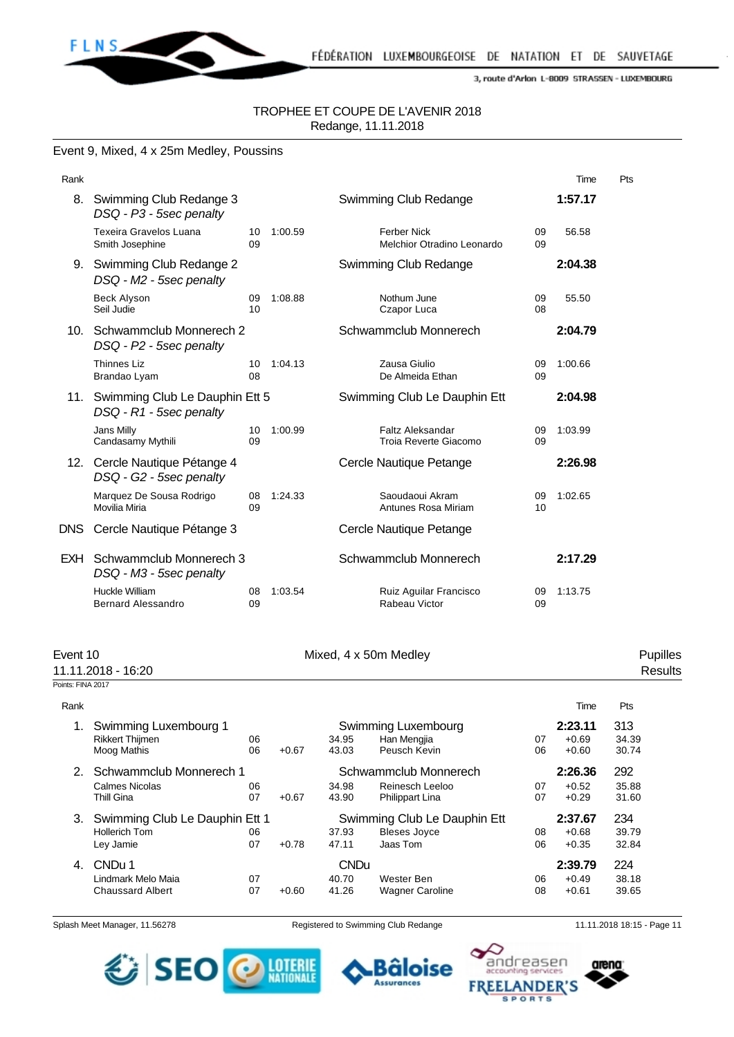

## TROPHEE ET COUPE DE L'AVENIR 2018 Redange, 11.11.2018

## Event 9, Mixed, 4 x 25m Medley, Poussins

|                                                                  |           |                                                    |                                                  |          | Time    | Pts |
|------------------------------------------------------------------|-----------|----------------------------------------------------|--------------------------------------------------|----------|---------|-----|
| Swimming Club Redange 3<br>DSQ - P3 - 5sec penalty               |           |                                                    | Swimming Club Redange                            |          | 1:57.17 |     |
| Texeira Gravelos Luana<br>Smith Josephine                        | 10<br>09  | 1:00.59                                            | <b>Ferber Nick</b><br>Melchior Otradino Leonardo | 09<br>09 | 56.58   |     |
| Swimming Club Redange 2<br>DSQ - M2 - 5sec penalty               |           |                                                    | Swimming Club Redange                            |          | 2:04.38 |     |
| <b>Beck Alyson</b><br>Seil Judie                                 | 09<br>10  | 1:08.88                                            | Nothum June<br>Czapor Luca                       | 09<br>08 | 55.50   |     |
| DSQ - P2 - 5sec penalty                                          |           |                                                    | Schwammclub Monnerech                            |          | 2:04.79 |     |
| <b>Thinnes Liz</b><br>Brandao Lyam                               | 10<br>08  | 1:04.13                                            | Zausa Giulio<br>De Almeida Ethan                 | 09<br>09 | 1:00.66 |     |
| Swimming Club Le Dauphin Ett 5<br>11.<br>DSQ - R1 - 5sec penalty |           |                                                    | Swimming Club Le Dauphin Ett                     |          | 2:04.98 |     |
| Jans Milly<br>Candasamy Mythili                                  | 10<br>09  | 1:00.99                                            | Faltz Aleksandar<br>Troia Reverte Giacomo        | 09<br>09 | 1:03.99 |     |
| Cercle Nautique Pétange 4<br>DSQ - G2 - 5sec penalty             |           |                                                    | Cercle Nautique Petange                          |          | 2:26.98 |     |
| Marquez De Sousa Rodrigo<br>Movilia Miria                        | 08<br>09  | 1:24.33                                            | Saoudaoui Akram<br>Antunes Rosa Miriam           | 09<br>10 | 1:02.65 |     |
| Cercle Nautique Pétange 3                                        |           |                                                    | Cercle Nautique Petange                          |          |         |     |
| DSQ - M3 - 5sec penalty                                          |           |                                                    | Schwammclub Monnerech                            |          | 2:17.29 |     |
| Huckle William<br>Bernard Alessandro                             | 08<br>09  | 1:03.54                                            | Ruiz Aguilar Francisco<br>Rabeau Victor          | 09<br>09 | 1:13.75 |     |
| EXH                                                              | 9.<br>12. | Schwammclub Monnerech 2<br>Schwammclub Monnerech 3 |                                                  |          |         |     |

| Event 10           | Mixed, 4 x 50m Medley | <b>Pupilles</b> |
|--------------------|-----------------------|-----------------|
| 11.11.2018 - 16:20 |                       | Results         |
| Points: FINA 2017  |                       |                 |

| Rank |                                                                       |          |         |                               |                                                                 |          | Time                          | <b>Pts</b>            |
|------|-----------------------------------------------------------------------|----------|---------|-------------------------------|-----------------------------------------------------------------|----------|-------------------------------|-----------------------|
| 1.   | Swimming Luxembourg 1<br><b>Rikkert Thijmen</b><br><b>Moog Mathis</b> | 06<br>06 | $+0.67$ | 34.95<br>43.03                | Swimming Luxembourg<br>Han Mengjia<br>Peusch Kevin              | 07<br>06 | 2:23.11<br>$+0.69$<br>$+0.60$ | 313<br>34.39<br>30.74 |
| 2.   | Schwammclub Monnerech 1<br>Calmes Nicolas<br>Thill Gina               | 06<br>07 | $+0.67$ | 34.98<br>43.90                | Schwammclub Monnerech<br>Reinesch Leeloo<br>Philippart Lina     | 07<br>07 | 2:26.36<br>$+0.52$<br>$+0.29$ | 292<br>35.88<br>31.60 |
| 3.   | Swimming Club Le Dauphin Ett 1<br><b>Hollerich Tom</b><br>Ley Jamie   | 06<br>07 | $+0.78$ | 37.93<br>47.11                | Swimming Club Le Dauphin Ett<br><b>Bleses Joyce</b><br>Jaas Tom | 08<br>06 | 2:37.67<br>$+0.68$<br>$+0.35$ | 234<br>39.79<br>32.84 |
| 4.   | CNDu 1<br>Lindmark Melo Maia<br><b>Chaussard Albert</b>               | 07<br>07 | $+0.60$ | <b>CNDu</b><br>40.70<br>41.26 | Wester Ben<br><b>Wagner Caroline</b>                            | 06<br>08 | 2:39.79<br>$+0.49$<br>$+0.61$ | 224<br>38.18<br>39.65 |

Splash Meet Manager, 11.56278 Registered to Swimming Club Redange 11.11.2018 18:15 - Page 11





Bâloise

**Assurances** 



andreasen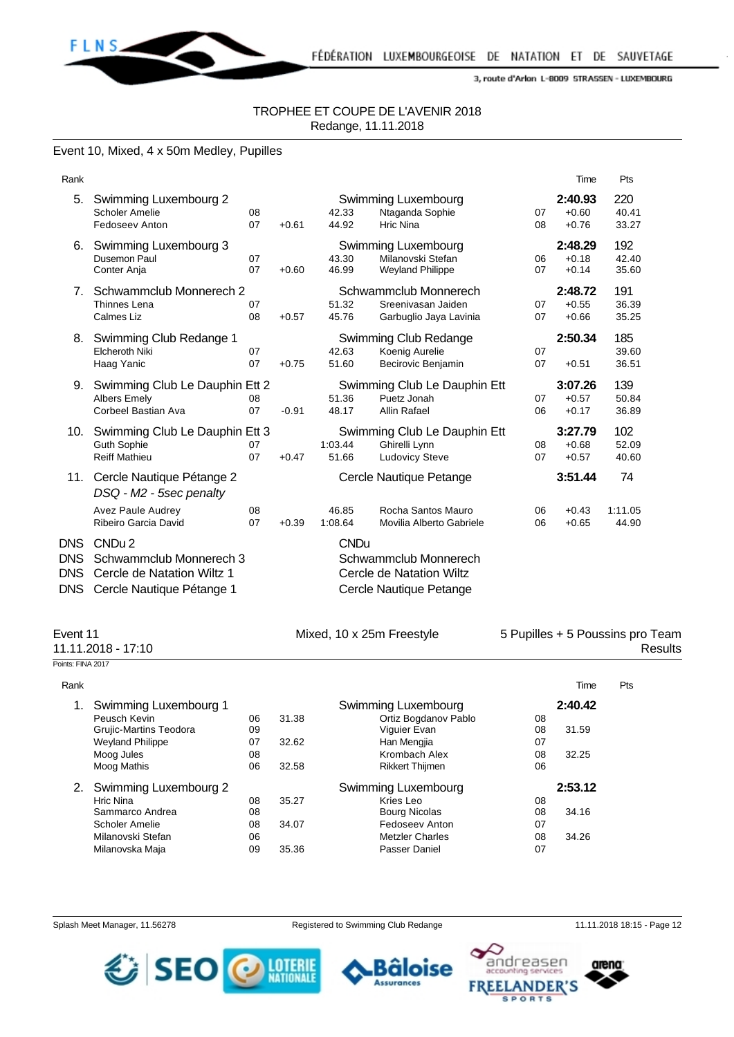

## TROPHEE ET COUPE DE L'AVENIR 2018 Redange, 11.11.2018

## Event 10, Mixed, 4 x 50m Medley, Pupilles

| Rank                            |                                                                                                          |          |         |                  |                                                                              |          | Time                          | Pts                   |
|---------------------------------|----------------------------------------------------------------------------------------------------------|----------|---------|------------------|------------------------------------------------------------------------------|----------|-------------------------------|-----------------------|
| 5.                              | Swimming Luxembourg 2<br>Scholer Amelie<br><b>Fedoseev Anton</b>                                         | 08<br>07 | $+0.61$ | 42.33<br>44.92   | Swimming Luxembourg<br>Ntaganda Sophie<br><b>Hric Nina</b>                   | 07<br>08 | 2:40.93<br>$+0.60$<br>$+0.76$ | 220<br>40.41<br>33.27 |
| 6.                              | Swimming Luxembourg 3<br>Dusemon Paul<br>Conter Anja                                                     | 07<br>07 | $+0.60$ | 43.30<br>46.99   | Swimming Luxembourg<br>Milanovski Stefan<br><b>Weyland Philippe</b>          | 06<br>07 | 2:48.29<br>$+0.18$<br>$+0.14$ | 192<br>42.40<br>35.60 |
| 7.                              | Schwammclub Monnerech 2<br>Thinnes Lena<br><b>Calmes Liz</b>                                             | 07<br>08 | $+0.57$ | 51.32<br>45.76   | Schwammclub Monnerech<br>Sreenivasan Jaiden<br>Garbuglio Jaya Lavinia        | 07<br>07 | 2:48.72<br>$+0.55$<br>$+0.66$ | 191<br>36.39<br>35.25 |
| 8.                              | Swimming Club Redange 1<br><b>Elcheroth Niki</b><br>Haag Yanic                                           | 07<br>07 | $+0.75$ | 42.63<br>51.60   | Swimming Club Redange<br>Koenig Aurelie<br>Becirovic Benjamin                | 07<br>07 | 2:50.34<br>$+0.51$            | 185<br>39.60<br>36.51 |
| 9.                              | Swimming Club Le Dauphin Ett 2<br><b>Albers Emely</b><br>Corbeel Bastian Ava                             | 08<br>07 | $-0.91$ | 51.36<br>48.17   | Swimming Club Le Dauphin Ett<br>Puetz Jonah<br><b>Allin Rafael</b>           | 07<br>06 | 3:07.26<br>$+0.57$<br>$+0.17$ | 139<br>50.84<br>36.89 |
| 10.                             | Swimming Club Le Dauphin Ett 3<br><b>Guth Sophie</b><br><b>Reiff Mathieu</b>                             | 07<br>07 | $+0.47$ | 1:03.44<br>51.66 | Swimming Club Le Dauphin Ett<br>Ghirelli Lynn<br><b>Ludovicy Steve</b>       | 08<br>07 | 3:27.79<br>$+0.68$<br>$+0.57$ | 102<br>52.09<br>40.60 |
| 11.                             | Cercle Nautique Pétange 2<br>DSQ - M2 - 5sec penalty                                                     |          |         |                  | Cercle Nautique Petange                                                      |          | 3:51.44                       | 74                    |
|                                 | Avez Paule Audrey<br>Ribeiro Garcia David                                                                | 08<br>07 | $+0.39$ | 46.85<br>1:08.64 | Rocha Santos Mauro<br>Movilia Alberto Gabriele                               | 06<br>06 | $+0.43$<br>$+0.65$            | 1:11.05<br>44.90      |
| <b>DNS</b><br>DNS<br>DNS<br>DNS | CND <sub>u</sub> 2<br>Schwammclub Monnerech 3<br>Cercle de Natation Wiltz 1<br>Cercle Nautique Pétange 1 |          |         | <b>CNDu</b>      | Schwammclub Monnerech<br>Cercle de Natation Wiltz<br>Cercle Nautique Petange |          |                               |                       |

Event 11 **Event 11** Mixed, 10 x 25m Freestyle 5 Pupilles + 5 Poussins pro Team 11.11.2018 - 17:10 Results

| Points: FINA 2017 |                         |    |       |                        |    |         |     |
|-------------------|-------------------------|----|-------|------------------------|----|---------|-----|
| Rank              |                         |    |       |                        |    | Time    | Pts |
|                   | Swimming Luxembourg 1   |    |       | Swimming Luxembourg    |    | 2:40.42 |     |
|                   | Peusch Kevin            | 06 | 31.38 | Ortiz Bogdanov Pablo   | 08 |         |     |
|                   | Grujic-Martins Teodora  | 09 |       | Viguier Evan           | 08 | 31.59   |     |
|                   | <b>Weyland Philippe</b> | 07 | 32.62 | Han Mengjia            | 07 |         |     |
|                   | Moog Jules              | 08 |       | Krombach Alex          | 08 | 32.25   |     |
|                   | Moog Mathis             | 06 | 32.58 | <b>Rikkert Thijmen</b> | 06 |         |     |
| 2.                | Swimming Luxembourg 2   |    |       | Swimming Luxembourg    |    | 2:53.12 |     |
|                   | Hric Nina               | 08 | 35.27 | Kries Leo              | 08 |         |     |
|                   | Sammarco Andrea         | 08 |       | Bourg Nicolas          | 08 | 34.16   |     |
|                   | Scholer Amelie          | 08 | 34.07 | Fedoseev Anton         | 07 |         |     |
|                   | Milanovski Stefan       | 06 |       | <b>Metzler Charles</b> | 08 | 34.26   |     |
|                   | Milanovska Maja         | 09 | 35.36 | Passer Daniel          | 07 |         |     |

Splash Meet Manager, 11.56278 Registered to Swimming Club Redange 11.11.2018 18:15 - Page 12

**Assurances** 



arena